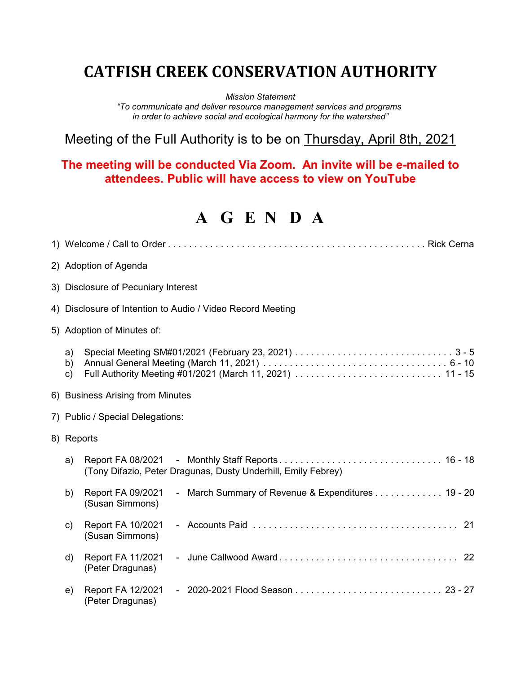## **CATFISH CREEK CONSERVATION AUTHORITY**

*Mission Statement*

*"To communicate and deliver resource management services and programs in order to achieve social and ecological harmony for the watershed"*

Meeting of the Full Authority is to be on Thursday, April 8th, 2021

## **The meeting will be conducted Via Zoom. An invite will be e-mailed to attendees. Public will have access to view on YouTube**

## **A G E N D A**

| 2) Adoption of Agenda                                      |                                                                                           |  |
|------------------------------------------------------------|-------------------------------------------------------------------------------------------|--|
| 3) Disclosure of Pecuniary Interest                        |                                                                                           |  |
| 4) Disclosure of Intention to Audio / Video Record Meeting |                                                                                           |  |
|                                                            | 5) Adoption of Minutes of:                                                                |  |
| a)<br>b)<br>c)                                             |                                                                                           |  |
| 6) Business Arising from Minutes                           |                                                                                           |  |
| 7) Public / Special Delegations:                           |                                                                                           |  |
|                                                            | 8) Reports                                                                                |  |
| a)                                                         | (Tony Difazio, Peter Dragunas, Dusty Underhill, Emily Febrey)                             |  |
| b)                                                         | - March Summary of Revenue & Expenditures 19 - 20<br>Report FA 09/2021<br>(Susan Simmons) |  |
| c)                                                         | Report FA 10/2021<br>(Susan Simmons)                                                      |  |
| d)                                                         | <b>Report FA 11/2021</b><br>(Peter Dragunas)                                              |  |
| e)                                                         | Report FA 12/2021<br>(Peter Dragunas)                                                     |  |